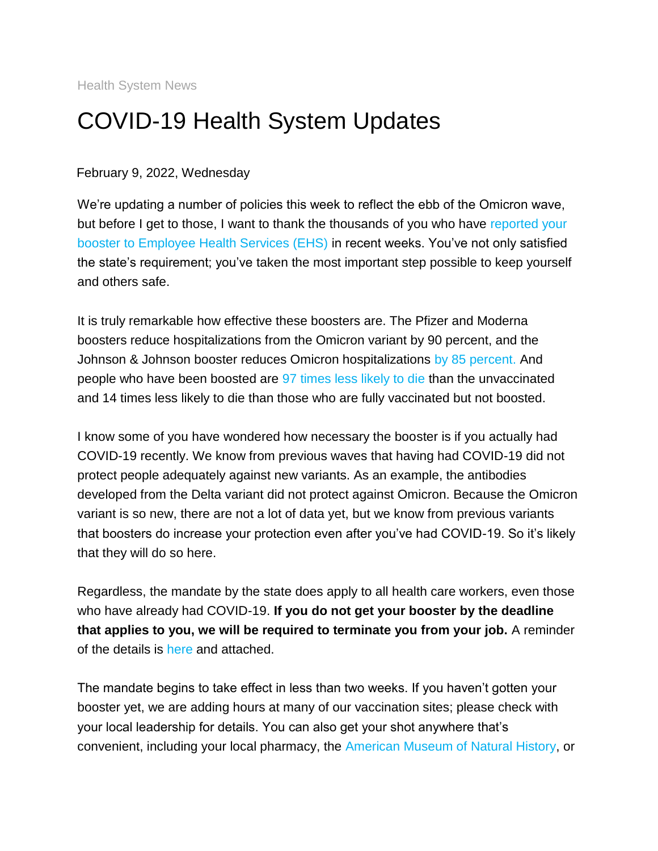Health System News

# COVID-19 Health System Updates

#### February 9, 2022, Wednesday

We're updating a number of policies this week to reflect the ebb of the Omicron wave, but before I get to those, I want to thank the thousands of you who have [reported your](https://s2.bl-1.com/h/dpwD8wxd?url=https://redcap.mountsinai.org/redcap/surveys/index.php?s=47JY9K9MFA&_ga=2.51413225.1309308404.1644242732-1113505503.1642793535&_gac=1.93672815.1643819239.Cj0KCQiA9OiPBhCOARIsAI0y71DEEIwmsTWqsNfSK1kmaAhl2xSTnvDSz2YTxXWgru4a3BJGXnVC7QUaAhp1EALw_wcB)  [booster to Employee Health Services \(EHS\)](https://s2.bl-1.com/h/dpwD8wxd?url=https://redcap.mountsinai.org/redcap/surveys/index.php?s=47JY9K9MFA&_ga=2.51413225.1309308404.1644242732-1113505503.1642793535&_gac=1.93672815.1643819239.Cj0KCQiA9OiPBhCOARIsAI0y71DEEIwmsTWqsNfSK1kmaAhl2xSTnvDSz2YTxXWgru4a3BJGXnVC7QUaAhp1EALw_wcB) in recent weeks. You've not only satisfied the state's requirement; you've taken the most important step possible to keep yourself and others safe.

It is truly remarkable how effective these boosters are. The Pfizer and Moderna boosters reduce hospitalizations from the Omicron variant by 90 percent, and the Johnson & Johnson booster reduces Omicron hospitalizations [by 85 percent.](https://s2.bl-1.com/h/dpwD80Lg?url=https://www.medrxiv.org/content/10.1101/2021.12.28.21268436v1) And people who have been boosted are [97 times less likely to die](https://s2.bl-1.com/h/dpwD85lj?url=https://www.medscape.com/viewarticle/967852) than the unvaccinated and 14 times less likely to die than those who are fully vaccinated but not boosted.

I know some of you have wondered how necessary the booster is if you actually had COVID-19 recently. We know from previous waves that having had COVID-19 did not protect people adequately against new variants. As an example, the antibodies developed from the Delta variant did not protect against Omicron. Because the Omicron variant is so new, there are not a lot of data yet, but we know from previous variants that boosters do increase your protection even after you've had COVID-19. So it's likely that they will do so here.

Regardless, the mandate by the state does apply to all health care workers, even those who have already had COVID-19. **If you do not get your booster by the deadline that applies to you, we will be required to terminate you from your job.** A reminder of the details is [here](https://s2.bl-1.com/h/dpwD897l?url=https://www.mountsinai.org/about/covid19/staff-resources/vaccine-information-employees) and attached.

The mandate begins to take effect in less than two weeks. If you haven't gotten your booster yet, we are adding hours at many of our vaccination sites; please check with your local leadership for details. You can also get your shot anywhere that's convenient, including your local pharmacy, the [American Museum of Natural History,](https://s2.bl-1.com/h/dpwD8FXn?url=https://www.amnh.org/covid-vaccination) or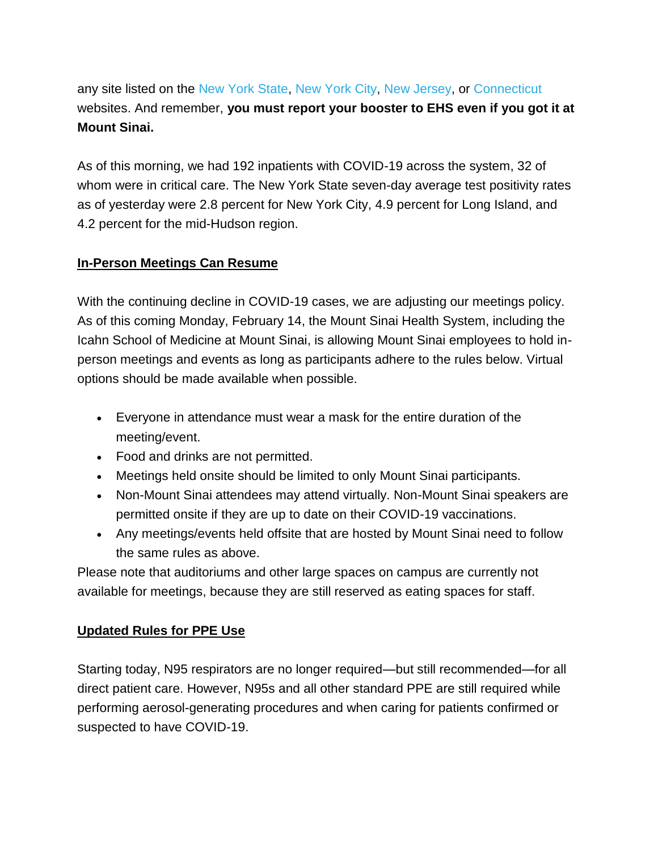any site listed on the [New York State,](https://s2.bl-1.com/h/dpwD8Lwp?url=https://covid19vaccine.health.ny.gov/) [New York City,](https://s2.bl-1.com/h/dpwD8QKr?url=https://vaccinefinder.nyc.gov/) [New Jersey,](https://s2.bl-1.com/h/dpwD8Wkt?url=https://covid19.nj.gov/pages/finder) or [Connecticut](https://s2.bl-1.com/h/dpwD9b6w?url=https://portal.ct.gov/vaccine-portal?language=en_US) websites. And remember, **you must report your booster to EHS even if you got it at Mount Sinai.**

As of this morning, we had 192 inpatients with COVID-19 across the system, 32 of whom were in critical care. The New York State seven-day average test positivity rates as of yesterday were 2.8 percent for New York City, 4.9 percent for Long Island, and 4.2 percent for the mid-Hudson region.

#### **In-Person Meetings Can Resume**

With the continuing decline in COVID-19 cases, we are adjusting our meetings policy. As of this coming Monday, February 14, the Mount Sinai Health System, including the Icahn School of Medicine at Mount Sinai, is allowing Mount Sinai employees to hold inperson meetings and events as long as participants adhere to the rules below. Virtual options should be made available when possible.

- Everyone in attendance must wear a mask for the entire duration of the meeting/event.
- Food and drinks are not permitted.
- Meetings held onsite should be limited to only Mount Sinai participants.
- Non-Mount Sinai attendees may attend virtually. Non-Mount Sinai speakers are permitted onsite if they are up to date on their COVID-19 vaccinations.
- Any meetings/events held offsite that are hosted by Mount Sinai need to follow the same rules as above.

Please note that auditoriums and other large spaces on campus are currently not available for meetings, because they are still reserved as eating spaces for staff.

## **Updated Rules for PPE Use**

Starting today, N95 respirators are no longer required—but still recommended—for all direct patient care. However, N95s and all other standard PPE are still required while performing aerosol-generating procedures and when caring for patients confirmed or suspected to have COVID-19.